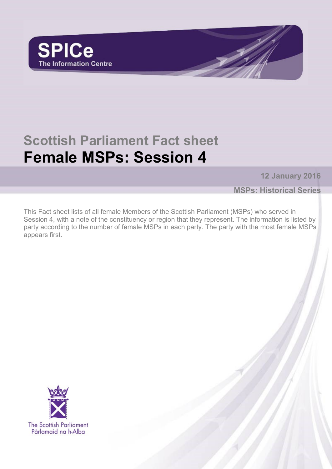

# **Scottish Parliament Fact sheet Female MSPs: Session 4**

**12 January 2016**

**MSPs: Historical Series**

This Fact sheet lists of all female Members of the Scottish Parliament (MSPs) who served in Session 4, with a note of the constituency or region that they represent. The information is listed by party according to the number of female MSPs in each party. The party with the most female MSPs appears first.

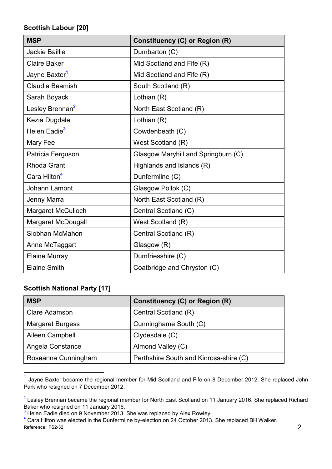#### **Scottish Labour [20]**

| <b>MSP</b>                  | <b>Constituency (C) or Region (R)</b> |  |
|-----------------------------|---------------------------------------|--|
| <b>Jackie Baillie</b>       | Dumbarton (C)                         |  |
| <b>Claire Baker</b>         | Mid Scotland and Fife (R)             |  |
| Jayne Baxter <sup>1</sup>   | Mid Scotland and Fife (R)             |  |
| Claudia Beamish             | South Scotland (R)                    |  |
| Sarah Boyack                | Lothian (R)                           |  |
| Lesley Brennan <sup>2</sup> | North East Scotland (R)               |  |
| Kezia Dugdale               | Lothian (R)                           |  |
| Helen Eadie <sup>3</sup>    | Cowdenbeath (C)                       |  |
| Mary Fee                    | West Scotland (R)                     |  |
| Patricia Ferguson           | Glasgow Maryhill and Springburn (C)   |  |
| <b>Rhoda Grant</b>          | Highlands and Islands (R)             |  |
| Cara Hilton <sup>4</sup>    | Dunfermline (C)                       |  |
| Johann Lamont               | Glasgow Pollok (C)                    |  |
| Jenny Marra                 | North East Scotland (R)               |  |
| <b>Margaret McCulloch</b>   | Central Scotland (C)                  |  |
| Margaret McDougall          | West Scotland (R)                     |  |
| Siobhan McMahon             | Central Scotland (R)                  |  |
| Anne McTaggart              | Glasgow (R)                           |  |
| <b>Elaine Murray</b>        | Dumfriesshire (C)                     |  |
| <b>Elaine Smith</b>         | Coatbridge and Chryston (C)           |  |

## **Scottish National Party [17]**

l

| <b>MSP</b>              | Constituency (C) or Region (R)         |  |
|-------------------------|----------------------------------------|--|
| <b>Clare Adamson</b>    | Central Scotland (R)                   |  |
| <b>Margaret Burgess</b> | Cunninghame South (C)                  |  |
| Aileen Campbell         | Clydesdale (C)                         |  |
| Angela Constance        | Almond Valley (C)                      |  |
| Roseanna Cunningham     | Perthshire South and Kinross-shire (C) |  |

<sup>1</sup> Jayne Baxter became the regional member for Mid Scotland and Fife on 8 December 2012. She replaced John Park who resigned on 7 December 2012.

 $2$  Lesley Brennan became the regional member for North East Scotland on 11 January 2016. She replaced Richard Baker who resigned on 11 January 2016.

 $3$  Helen Eadie died on 9 November 2013. She was replaced by Alex Rowley.

**Reference:** FS2-32 2 <sup>4</sup> Cara Hilton was elected in the Dunfermline by-election on 24 October 2013. She replaced Bill Walker.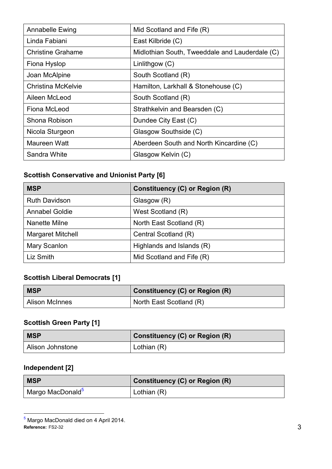| Annabelle Ewing           | Mid Scotland and Fife (R)                      |
|---------------------------|------------------------------------------------|
| Linda Fabiani             | East Kilbride (C)                              |
| <b>Christine Grahame</b>  | Midlothian South, Tweeddale and Lauderdale (C) |
| Fiona Hyslop              | Linlithgow (C)                                 |
| Joan McAlpine             | South Scotland (R)                             |
| <b>Christina McKelvie</b> | Hamilton, Larkhall & Stonehouse (C)            |
| Aileen McLeod             | South Scotland (R)                             |
| Fiona McLeod              | Strathkelvin and Bearsden (C)                  |
| Shona Robison             | Dundee City East (C)                           |
| Nicola Sturgeon           | Glasgow Southside (C)                          |
| Maureen Watt              | Aberdeen South and North Kincardine (C)        |
| Sandra White              | Glasgow Kelvin (C)                             |

# **Scottish Conservative and Unionist Party [6]**

| <b>MSP</b>               | Constituency (C) or Region (R) |
|--------------------------|--------------------------------|
| <b>Ruth Davidson</b>     | Glasgow (R)                    |
| <b>Annabel Goldie</b>    | West Scotland (R)              |
| Nanette Milne            | North East Scotland (R)        |
| <b>Margaret Mitchell</b> | Central Scotland (R)           |
| Mary Scanlon             | Highlands and Islands (R)      |
| Liz Smith                | Mid Scotland and Fife (R)      |

### **Scottish Liberal Democrats [1]**

| <b>MSP</b>            | <b>Constituency (C) or Region (R)</b> |  |
|-----------------------|---------------------------------------|--|
| <b>Alison McInnes</b> | North East Scotland (R)               |  |

# **Scottish Green Party [1]**

| <b>MSP</b>       | <b>Constituency (C) or Region (R)</b> |  |
|------------------|---------------------------------------|--|
| Alison Johnstone | Lothian (R)                           |  |

# **Independent [2]**

 $\overline{a}$ 

| <b>MSP</b>                   | <b>Constituency (C) or Region (R)</b> |  |
|------------------------------|---------------------------------------|--|
| Margo MacDonald <sup>5</sup> | Lothian $(R)$                         |  |

**Reference:** FS2-32 3 <sup>5</sup> Margo MacDonald died on 4 April 2014.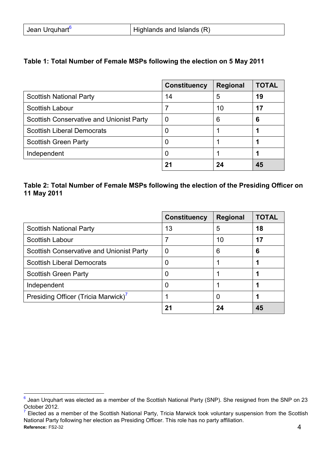| Jean Urquhart <sup>6</sup> | $\mid$ Highlands and Islands (R) |
|----------------------------|----------------------------------|
|----------------------------|----------------------------------|

#### **Table 1: Total Number of Female MSPs following the election on 5 May 2011**

|                                                 | <b>Constituency</b> | <b>Regional</b> | <b>TOTAL</b> |
|-------------------------------------------------|---------------------|-----------------|--------------|
| <b>Scottish National Party</b>                  | 14                  | 5               | 19           |
| Scottish Labour                                 |                     | 10              | 17           |
| <b>Scottish Conservative and Unionist Party</b> |                     | 6               | 6            |
| <b>Scottish Liberal Democrats</b>               |                     |                 |              |
| <b>Scottish Green Party</b>                     |                     |                 |              |
| Independent                                     |                     |                 |              |
|                                                 | 21                  | 24              | 45           |

#### **Table 2: Total Number of Female MSPs following the election of the Presiding Officer on 11 May 2011**

|                                                 | <b>Constituency</b> | <b>Regional</b> | <b>TOTAL</b> |
|-------------------------------------------------|---------------------|-----------------|--------------|
| <b>Scottish National Party</b>                  | 13                  | 5               | 18           |
| Scottish Labour                                 |                     | 10              | 17           |
| <b>Scottish Conservative and Unionist Party</b> | O                   | 6               | 6            |
| <b>Scottish Liberal Democrats</b>               |                     |                 |              |
| <b>Scottish Green Party</b>                     |                     |                 |              |
| Independent                                     |                     |                 |              |
| Presiding Officer (Tricia Marwick)'             |                     | O               |              |
|                                                 | 21                  | 24              | 45           |

 $\overline{a}$  $^6$  Jean Urquhart was elected as a member of the Scottish National Party (SNP). She resigned from the SNP on 23 October 2012.

**Reference:** FS2-32 4  $<sup>7</sup>$  Elected as a member of the Scottish National Party, Tricia Marwick took voluntary suspension from the Scottish</sup> National Party following her election as Presiding Officer. This role has no party affiliation.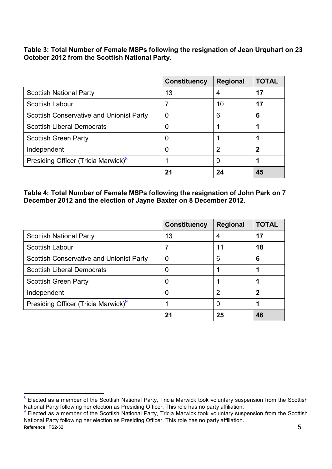**Table 3: Total Number of Female MSPs following the resignation of Jean Urquhart on 23 October 2012 from the Scottish National Party.**

|                                                 | <b>Constituency</b> | <b>Regional</b> | <b>TOTAL</b> |
|-------------------------------------------------|---------------------|-----------------|--------------|
| <b>Scottish National Party</b>                  | 13                  |                 | 17           |
| <b>Scottish Labour</b>                          |                     | 10              | 17           |
| <b>Scottish Conservative and Unionist Party</b> | 0                   | 6               | 6            |
| <b>Scottish Liberal Democrats</b>               |                     |                 |              |
| <b>Scottish Green Party</b>                     |                     |                 |              |
| Independent                                     |                     | 2               | כי           |
| Presiding Officer (Tricia Marwick) <sup>8</sup> |                     |                 |              |
|                                                 | 21                  | 24              | 45           |

**Table 4: Total Number of Female MSPs following the resignation of John Park on 7 December 2012 and the election of Jayne Baxter on 8 December 2012.**

|                                                 | <b>Constituency</b> | <b>Regional</b> | <b>TOTAL</b> |
|-------------------------------------------------|---------------------|-----------------|--------------|
| <b>Scottish National Party</b>                  | 13                  | 4               | 17           |
| Scottish Labour                                 |                     | 11              | 18           |
| <b>Scottish Conservative and Unionist Party</b> | 0                   | 6               | 6            |
| <b>Scottish Liberal Democrats</b>               |                     |                 |              |
| Scottish Green Party                            |                     |                 |              |
| Independent                                     |                     | 2               | כי           |
| Presiding Officer (Tricia Marwick) <sup>9</sup> |                     |                 |              |
|                                                 | 21                  | 25              | 46           |

 $\overline{a}$ 8 Elected as a member of the Scottish National Party, Tricia Marwick took voluntary suspension from the Scottish National Party following her election as Presiding Officer. This role has no party affiliation.

**Reference:** FS2-32 5 <sup>9</sup> Elected as a member of the Scottish National Party, Tricia Marwick took voluntary suspension from the Scottish National Party following her election as Presiding Officer. This role has no party affiliation.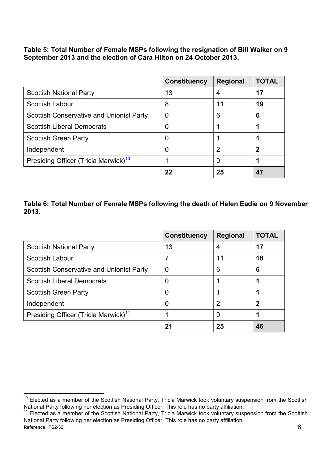**Table 5: Total Number of Female MSPs following the resignation of Bill Walker on 9 September 2013 and the election of Cara Hilton on 24 October 2013.**

|                                                  | <b>Constituency</b> | <b>Regional</b> | <b>TOTAL</b> |
|--------------------------------------------------|---------------------|-----------------|--------------|
| <b>Scottish National Party</b>                   | 13                  | 4               | 17           |
| Scottish Labour                                  | 8                   | 11              | 19           |
| <b>Scottish Conservative and Unionist Party</b>  | 0                   | 6               | 6            |
| <b>Scottish Liberal Democrats</b>                |                     |                 |              |
| <b>Scottish Green Party</b>                      |                     |                 |              |
| Independent                                      |                     | 2               | 2            |
| Presiding Officer (Tricia Marwick) <sup>10</sup> |                     | O               |              |
|                                                  | 22                  | 25              |              |

#### **Table 6: Total Number of Female MSPs following the death of Helen Eadie on 9 November 2013.**

|                                                  | <b>Constituency</b> | <b>Regional</b> | <b>TOTAL</b> |
|--------------------------------------------------|---------------------|-----------------|--------------|
| <b>Scottish National Party</b>                   | 13                  | 4               | 17           |
| Scottish Labour                                  |                     | 11              | 18           |
| <b>Scottish Conservative and Unionist Party</b>  | U                   | 6               | 6            |
| <b>Scottish Liberal Democrats</b>                |                     |                 |              |
| <b>Scottish Green Party</b>                      |                     |                 |              |
| Independent                                      |                     | 2               | כי           |
| Presiding Officer (Tricia Marwick) <sup>11</sup> |                     | O               |              |
|                                                  | 21                  | 25              | 46           |

 $\overline{a}$  $10$  Elected as a member of the Scottish National Party, Tricia Marwick took voluntary suspension from the Scottish National Party following her election as Presiding Officer. This role has no party affiliation.

**Reference:** FS2-32 6  $11$  Elected as a member of the Scottish National Party, Tricia Marwick took voluntary suspension from the Scottish National Party following her election as Presiding Officer. This role has no party affiliation.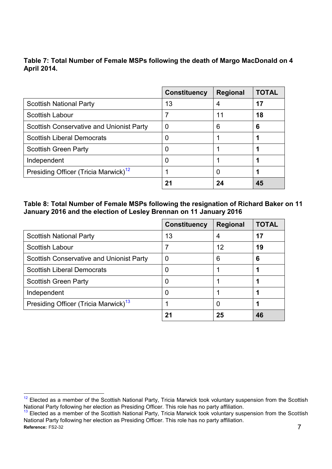**Table 7: Total Number of Female MSPs following the death of Margo MacDonald on 4 April 2014.**

|                                                  | <b>Constituency</b> | <b>Regional</b> | <b>TOTAL</b> |
|--------------------------------------------------|---------------------|-----------------|--------------|
| <b>Scottish National Party</b>                   | 13                  | 4               | 17           |
| Scottish Labour                                  |                     | 11              | 18           |
| <b>Scottish Conservative and Unionist Party</b>  | 0                   | 6               | 6            |
| <b>Scottish Liberal Democrats</b>                |                     |                 |              |
| <b>Scottish Green Party</b>                      |                     |                 |              |
| Independent                                      |                     |                 |              |
| Presiding Officer (Tricia Marwick) <sup>12</sup> |                     | 0               |              |
|                                                  | 21                  | 24              | 45           |

**Table 8: Total Number of Female MSPs following the resignation of Richard Baker on 11 January 2016 and the election of Lesley Brennan on 11 January 2016**

|                                                  | <b>Constituency</b> | <b>Regional</b> | <b>TOTAL</b> |
|--------------------------------------------------|---------------------|-----------------|--------------|
| <b>Scottish National Party</b>                   | 13                  |                 | 17           |
| Scottish Labour                                  |                     | 12              | 19           |
| <b>Scottish Conservative and Unionist Party</b>  | 0                   | 6               | 6            |
| <b>Scottish Liberal Democrats</b>                | U                   |                 |              |
| <b>Scottish Green Party</b>                      | O                   |                 |              |
| Independent                                      |                     |                 |              |
| Presiding Officer (Tricia Marwick) <sup>13</sup> |                     |                 |              |
|                                                  | 21                  | 25              | 46           |

 $12$ <sup>12</sup> Elected as a member of the Scottish National Party, Tricia Marwick took voluntary suspension from the Scottish National Party following her election as Presiding Officer. This role has no party affiliation.

**Reference:** FS2-32 7  $13$  Elected as a member of the Scottish National Party, Tricia Marwick took voluntary suspension from the Scottish National Party following her election as Presiding Officer. This role has no party affiliation.